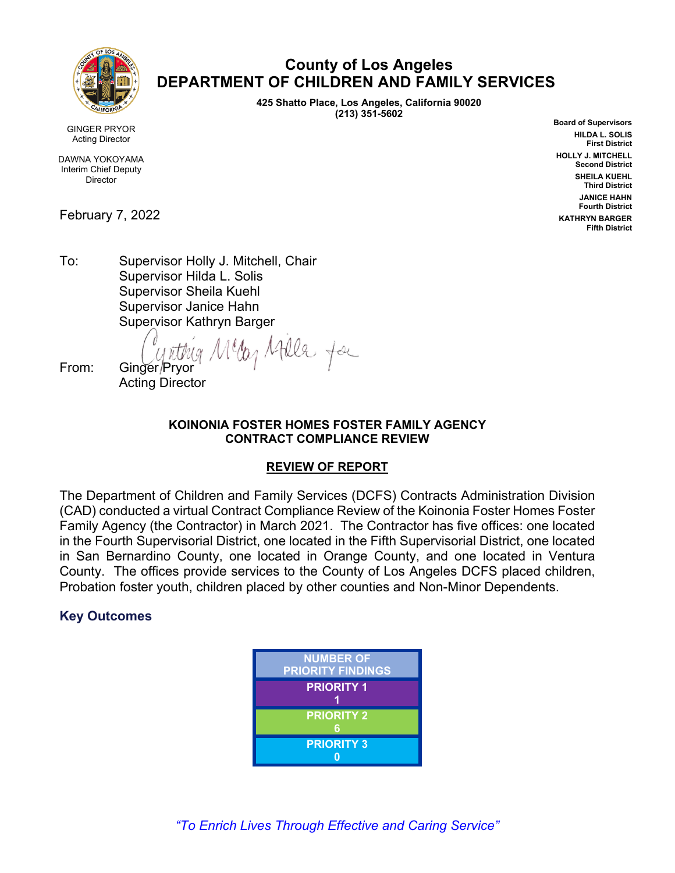

## \ **County of Los Angeles DEPARTMENT OF CHILDREN AND FAMILY SERVICES**

**425 Shatto Place, Los Angeles, California 90020 (213) 351-5602**

**Board of Supervisors HILDA L. SOLIS First District HOLLY J. MITCHELL Second District SHEILA KUEHL Third District JANICE HAHN Fourth District KATHRYN BARGER Fifth District**

GINGER PRYOR Acting Director

DAWNA YOKOYAMA Interim Chief Deputy **Director** 

February 7, 2022

To: Supervisor Holly J. Mitchell, Chair Supervisor Hilda L. Solis Supervisor Sheila Kuehl Supervisor Janice Hahn Supervisor Kathryn Barger

Meg Atela for From: Ginger/Prvor

Acting Director

#### **KOINONIA FOSTER HOMES FOSTER FAMILY AGENCY CONTRACT COMPLIANCE REVIEW**

### **REVIEW OF REPORT**

The Department of Children and Family Services (DCFS) Contracts Administration Division (CAD) conducted a virtual Contract Compliance Review of the Koinonia Foster Homes Foster Family Agency (the Contractor) in March 2021. The Contractor has five offices: one located in the Fourth Supervisorial District, one located in the Fifth Supervisorial District, one located in San Bernardino County, one located in Orange County, and one located in Ventura County. The offices provide services to the County of Los Angeles DCFS placed children, Probation foster youth, children placed by other counties and Non-Minor Dependents.

### **Key Outcomes**

| <b>NUMBER OF</b><br><b>PRIORITY FINDINGS</b> |
|----------------------------------------------|
| <b>PRIORITY 1</b>                            |
| <b>PRIORITY 2</b><br>հ                       |
| <b>PRIORITY 3</b>                            |

*"To Enrich Lives Through Effective and Caring Service"*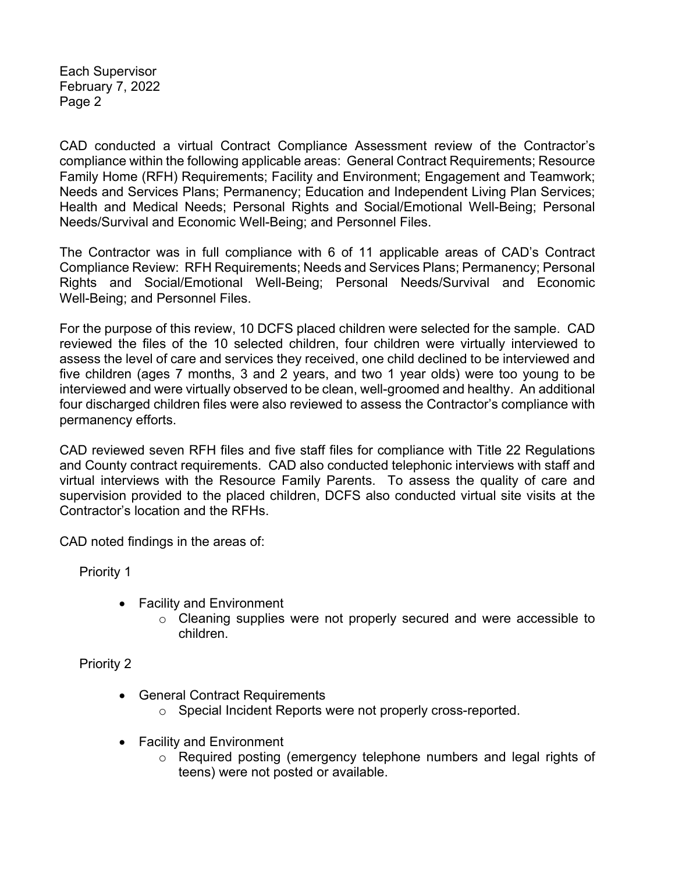Each Supervisor February 7, 2022 Page 2

CAD conducted a virtual Contract Compliance Assessment review of the Contractor's compliance within the following applicable areas: General Contract Requirements; Resource Family Home (RFH) Requirements; Facility and Environment; Engagement and Teamwork; Needs and Services Plans; Permanency; Education and Independent Living Plan Services; Health and Medical Needs; Personal Rights and Social/Emotional Well-Being; Personal Needs/Survival and Economic Well-Being; and Personnel Files.

The Contractor was in full compliance with 6 of 11 applicable areas of CAD's Contract Compliance Review: RFH Requirements; Needs and Services Plans; Permanency; Personal Rights and Social/Emotional Well-Being; Personal Needs/Survival and Economic Well-Being; and Personnel Files.

For the purpose of this review, 10 DCFS placed children were selected for the sample. CAD reviewed the files of the 10 selected children, four children were virtually interviewed to assess the level of care and services they received, one child declined to be interviewed and five children (ages 7 months, 3 and 2 years, and two 1 year olds) were too young to be interviewed and were virtually observed to be clean, well-groomed and healthy. An additional four discharged children files were also reviewed to assess the Contractor's compliance with permanency efforts.

CAD reviewed seven RFH files and five staff files for compliance with Title 22 Regulations and County contract requirements. CAD also conducted telephonic interviews with staff and virtual interviews with the Resource Family Parents. To assess the quality of care and supervision provided to the placed children, DCFS also conducted virtual site visits at the Contractor's location and the RFHs.

CAD noted findings in the areas of:

Priority 1

- Facility and Environment
	- o Cleaning supplies were not properly secured and were accessible to children.

Priority 2

- General Contract Requirements
	- o Special Incident Reports were not properly cross-reported.
- Facility and Environment
	- o Required posting (emergency telephone numbers and legal rights of teens) were not posted or available.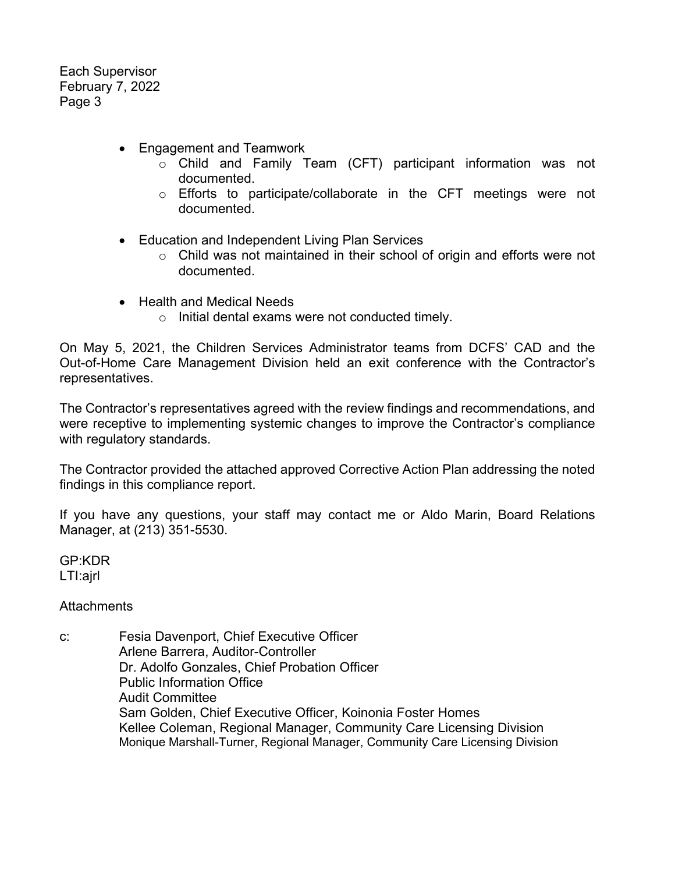Each Supervisor February 7, 2022 Page 3

- Engagement and Teamwork
	- o Child and Family Team (CFT) participant information was not documented.
	- o Efforts to participate/collaborate in the CFT meetings were not documented.
- Education and Independent Living Plan Services
	- o Child was not maintained in their school of origin and efforts were not documented.
- Health and Medical Needs
	- o Initial dental exams were not conducted timely.

On May 5, 2021, the Children Services Administrator teams from DCFS' CAD and the Out-of-Home Care Management Division held an exit conference with the Contractor's representatives.

The Contractor's representatives agreed with the review findings and recommendations, and were receptive to implementing systemic changes to improve the Contractor's compliance with regulatory standards.

The Contractor provided the attached approved Corrective Action Plan addressing the noted findings in this compliance report.

If you have any questions, your staff may contact me or Aldo Marin, Board Relations Manager, at (213) 351-5530.

GP:KDR LTI:ajrl

**Attachments** 

c: Fesia Davenport, Chief Executive Officer Arlene Barrera, Auditor-Controller Dr. Adolfo Gonzales, Chief Probation Officer Public Information Office Audit Committee Sam Golden, Chief Executive Officer, Koinonia Foster Homes Kellee Coleman, Regional Manager, Community Care Licensing Division Monique Marshall-Turner, Regional Manager, Community Care Licensing Division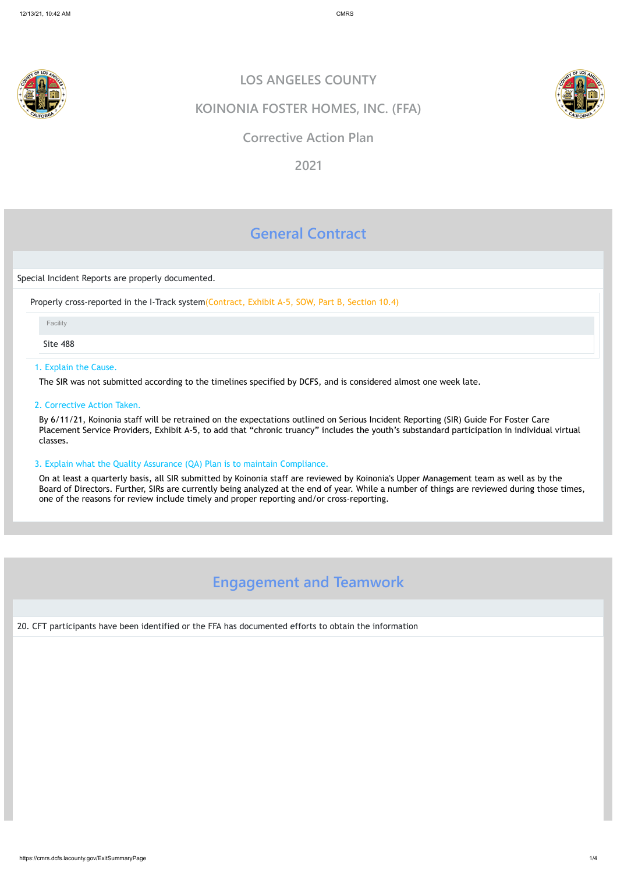



https://cmrs.dcfs.lacounty.gov/ExitSummaryPage 1/4

# **General Contract**

Special Incident Reports are properly documented.

Properly cross-reported in the I-Track system(Contract, Exhibit A-5, SOW, Part B, Section 10.4)

Site 488

### 1. Explain the Cause.

The SIR was not submitted according to the timelines specified by DCFS, and is considered almost one week late.

2. Corrective Action Taken.

By 6/11/21, Koinonia staff will be retrained on the expectations outlined on Serious Incident Reporting (SIR) Guide For Foster Care Placement Service Providers, Exhibit A-5, to add that "chronic truancy" includes the youth's substandard participation in individual virtual classes.

### 3. Explain what the Quality Assurance (QA) Plan is to maintain Compliance.

On at least a quarterly basis, all SIR submitted by Koinonia staff are reviewed by Koinonia's Upper Management team as well as by the Board of Directors. Further, SIRs are currently being analyzed at the end of year. While a number of things are reviewed during those times, one of the reasons for review include timely and proper reporting and/or cross-reporting.

# **Engagement and Teamwork**

20. CFT participants have been identified or the FFA has documented efforts to obtain the information

# **LOS ANGELES COUNTY**

## **KOINONIA FOSTER HOMES, INC. (FFA)**

## **Corrective Action Plan**

**2021**

Facility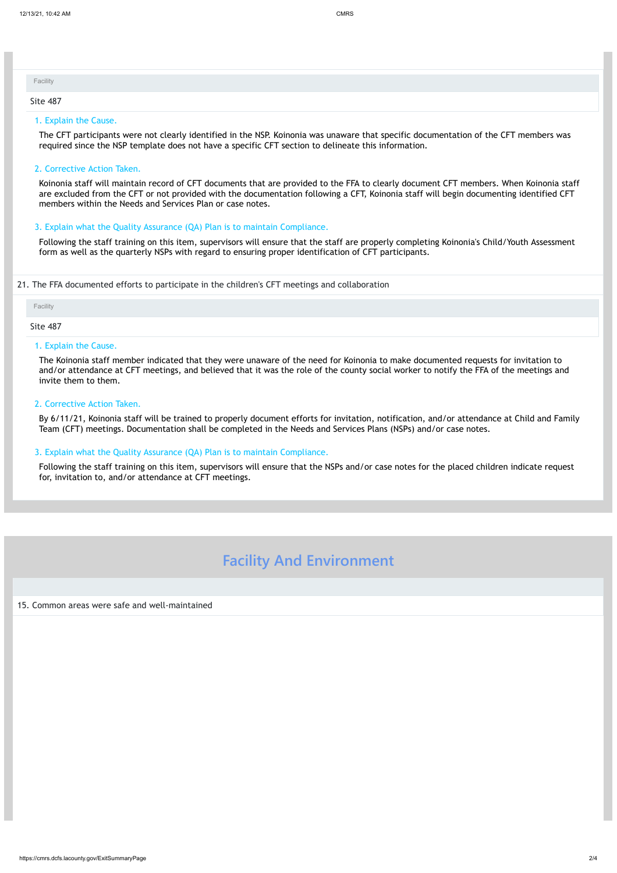https://cmrs.dcfs.lacounty.gov/ExitSummaryPage 2/4

#### 1. Explain the Cause.

The CFT participants were not clearly identified in the NSP. Koinonia was unaware that specific documentation of the CFT members was required since the NSP template does not have a specific CFT section to delineate this information.

2. Corrective Action Taken.

Koinonia staff will maintain record of CFT documents that are provided to the FFA to clearly document CFT members. When Koinonia staff are excluded from the CFT or not provided with the documentation following a CFT, Koinonia staff will begin documenting identified CFT members within the Needs and Services Plan or case notes.

#### 3. Explain what the Quality Assurance (QA) Plan is to maintain Compliance.

Following the staff training on this item, supervisors will ensure that the staff are properly completing Koinonia's Child/Youth Assessment form as well as the quarterly NSPs with regard to ensuring proper identification of CFT participants.

#### 21. The FFA documented efforts to participate in the children's CFT meetings and collaboration

| Facility        |  |  |  |
|-----------------|--|--|--|
| <b>Site 487</b> |  |  |  |

#### 1. Explain the Cause.

The Koinonia staff member indicated that they were unaware of the need for Koinonia to make documented requests for invitation to and/or attendance at CFT meetings, and believed that it was the role of the county social worker to notify the FFA of the meetings and invite them to them.

2. Corrective Action Taken.

By 6/11/21, Koinonia staff will be trained to properly document efforts for invitation, notification, and/or attendance at Child and Family Team (CFT) meetings. Documentation shall be completed in the Needs and Services Plans (NSPs) and/or case notes.

| Facility        |  |  |  |
|-----------------|--|--|--|
| <b>Site 487</b> |  |  |  |

#### 3. Explain what the Quality Assurance (QA) Plan is to maintain Compliance.

Following the staff training on this item, supervisors will ensure that the NSPs and/or case notes for the placed children indicate request for, invitation to, and/or attendance at CFT meetings.

# **Facility And Environment**

#### 15. Common areas were safe and well-maintained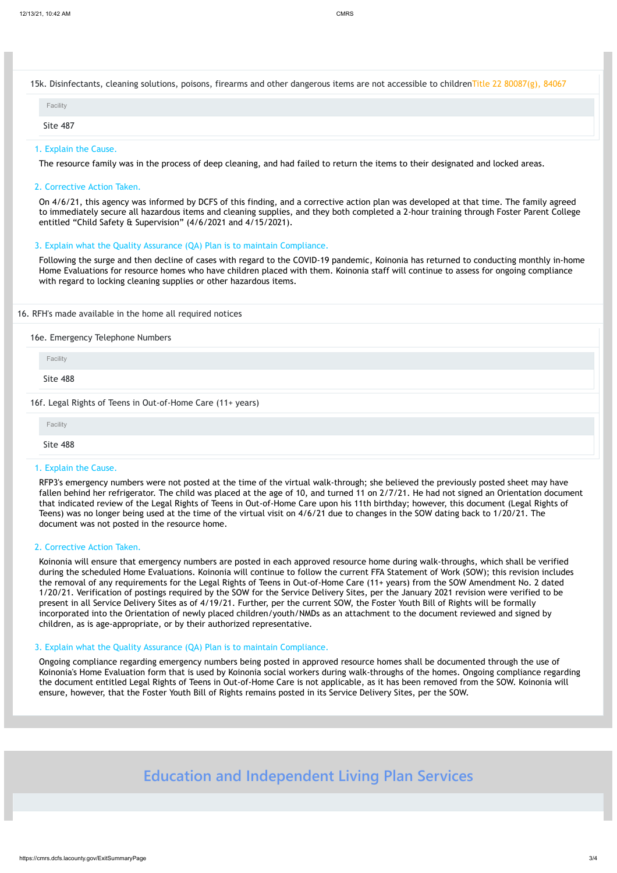15k. Disinfectants, cleaning solutions, poisons, firearms and other dangerous items are not accessible to childrenTitle 22 80087(g), 84067

#### The resource family was in the process of deep cleaning, and had failed to return the items to their designated and locked areas.

#### 2. Corrective Action Taken.

On 4/6/21, this agency was informed by DCFS of this finding, and a corrective action plan was developed at that time. The family agreed to immediately secure all hazardous items and cleaning supplies, and they both completed a 2-hour training through Foster Parent College entitled "Child Safety & Supervision" (4/6/2021 and 4/15/2021).

### 3. Explain what the Quality Assurance (QA) Plan is to maintain Compliance.

Following the surge and then decline of cases with regard to the COVID-19 pandemic, Koinonia has returned to conducting monthly in-home Home Evaluations for resource homes who have children placed with them. Koinonia staff will continue to assess for ongoing compliance with regard to locking cleaning supplies or other hazardous items.

#### 16. RFH's made available in the home all required notices

### 16e. Emergency Telephone Numbers

Site 488

16f. Legal Rights of Teens in Out-of-Home Care (11+ years)

#### 1. Explain the Cause.

RFP3's emergency numbers were not posted at the time of the virtual walk-through; she believed the previously posted sheet may have fallen behind her refrigerator. The child was placed at the age of 10, and turned 11 on 2/7/21. He had not signed an Orientation document that indicated review of the Legal Rights of Teens in Out-of-Home Care upon his 11th birthday; however, this document (Legal Rights of Teens) was no longer being used at the time of the virtual visit on 4/6/21 due to changes in the SOW dating back to 1/20/21. The document was not posted in the resource home.

| Facility              |  |  |  |
|-----------------------|--|--|--|
| Site 487              |  |  |  |
| 1. Explain the Cause. |  |  |  |

#### 2. Corrective Action Taken.

Koinonia will ensure that emergency numbers are posted in each approved resource home during walk-throughs, which shall be verified during the scheduled Home Evaluations. Koinonia will continue to follow the current FFA Statement of Work (SOW); this revision includes the removal of any requirements for the Legal Rights of Teens in Out-of-Home Care (11+ years) from the SOW Amendment No. 2 dated 1/20/21. Verification of postings required by the SOW for the Service Delivery Sites, per the January 2021 revision were verified to be present in all Service Delivery Sites as of 4/19/21. Further, per the current SOW, the Foster Youth Bill of Rights will be formally incorporated into the Orientation of newly placed children/youth/NMDs as an attachment to the document reviewed and signed by children, as is age-appropriate, or by their authorized representative.

| Facility |  |  |  |
|----------|--|--|--|
| Site 488 |  |  |  |

#### 3. Explain what the Quality Assurance (QA) Plan is to maintain Compliance.

Ongoing compliance regarding emergency numbers being posted in approved resource homes shall be documented through the use of Koinonia's Home Evaluation form that is used by Koinonia social workers during walk-throughs of the homes. Ongoing compliance regarding the document entitled Legal Rights of Teens in Out-of-Home Care is not applicable, as it has been removed from the SOW. Koinonia will ensure, however, that the Foster Youth Bill of Rights remains posted in its Service Delivery Sites, per the SOW.

# **Education and Independent Living Plan Services**

Facility